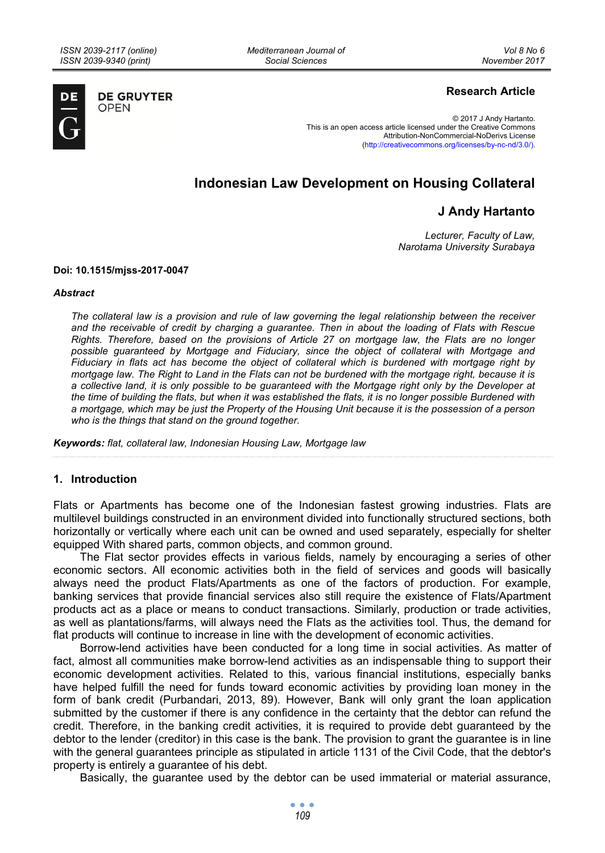*Mediterranean Journal of Social Sciences* 



**DE GRUYTER OPEN** 

## **Research Article**

© 2017 J Andy Hartanto. This is an open access article licensed under the Creative Commons Attribution-NonCommercial-NoDerivs License (http://creativecommons.org/licenses/by-nc-nd/3.0/).

# **Indonesian Law Development on Housing Collateral**

## **J Andy Hartanto**

*Lecturer, Faculty of Law, Narotama University Surabaya* 

#### **Doi: 10.1515/mjss-2017-0047**

#### *Abstract*

*The collateral law is a provision and rule of law governing the legal relationship between the receiver and the receivable of credit by charging a guarantee. Then in about the loading of Flats with Rescue Rights. Therefore, based on the provisions of Article 27 on mortgage law, the Flats are no longer possible guaranteed by Mortgage and Fiduciary, since the object of collateral with Mortgage and Fiduciary in flats act has become the object of collateral which is burdened with mortgage right by mortgage law. The Right to Land in the Flats can not be burdened with the mortgage right, because it is a collective land, it is only possible to be guaranteed with the Mortgage right only by the Developer at the time of building the flats, but when it was established the flats, it is no longer possible Burdened with a mortgage, which may be just the Property of the Housing Unit because it is the possession of a person who is the things that stand on the ground together.* 

*Keywords: flat, collateral law, Indonesian Housing Law, Mortgage law* 

#### **1. Introduction**

Flats or Apartments has become one of the Indonesian fastest growing industries. Flats are multilevel buildings constructed in an environment divided into functionally structured sections, both horizontally or vertically where each unit can be owned and used separately, especially for shelter equipped With shared parts, common objects, and common ground.

The Flat sector provides effects in various fields, namely by encouraging a series of other economic sectors. All economic activities both in the field of services and goods will basically always need the product Flats/Apartments as one of the factors of production. For example, banking services that provide financial services also still require the existence of Flats/Apartment products act as a place or means to conduct transactions. Similarly, production or trade activities, as well as plantations/farms, will always need the Flats as the activities tool. Thus, the demand for flat products will continue to increase in line with the development of economic activities.

Borrow-lend activities have been conducted for a long time in social activities. As matter of fact, almost all communities make borrow-lend activities as an indispensable thing to support their economic development activities. Related to this, various financial institutions, especially banks have helped fulfill the need for funds toward economic activities by providing loan money in the form of bank credit (Purbandari, 2013, 89). However, Bank will only grant the loan application submitted by the customer if there is any confidence in the certainty that the debtor can refund the credit. Therefore, in the banking credit activities, it is required to provide debt guaranteed by the debtor to the lender (creditor) in this case is the bank. The provision to grant the guarantee is in line with the general guarantees principle as stipulated in article 1131 of the Civil Code, that the debtor's property is entirely a guarantee of his debt.

Basically, the guarantee used by the debtor can be used immaterial or material assurance,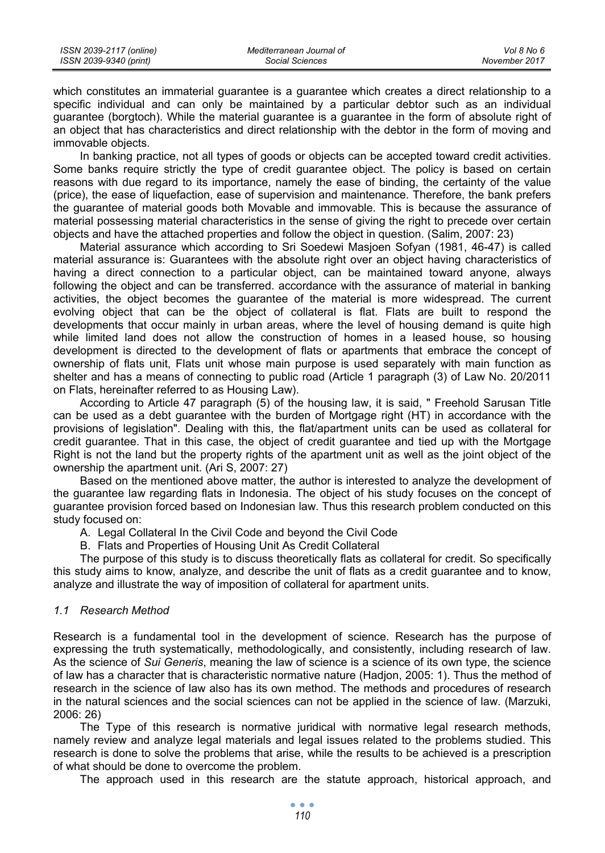which constitutes an immaterial guarantee is a guarantee which creates a direct relationship to a specific individual and can only be maintained by a particular debtor such as an individual guarantee (borgtoch). While the material guarantee is a guarantee in the form of absolute right of an object that has characteristics and direct relationship with the debtor in the form of moving and immovable objects.

In banking practice, not all types of goods or objects can be accepted toward credit activities. Some banks require strictly the type of credit guarantee object. The policy is based on certain reasons with due regard to its importance, namely the ease of binding, the certainty of the value (price), the ease of liquefaction, ease of supervision and maintenance. Therefore, the bank prefers the guarantee of material goods both Movable and immovable. This is because the assurance of material possessing material characteristics in the sense of giving the right to precede over certain objects and have the attached properties and follow the object in question. (Salim, 2007: 23)

Material assurance which according to Sri Soedewi Masjoen Sofyan (1981, 46-47) is called material assurance is: Guarantees with the absolute right over an object having characteristics of having a direct connection to a particular object, can be maintained toward anyone, always following the object and can be transferred. accordance with the assurance of material in banking activities, the object becomes the guarantee of the material is more widespread. The current evolving object that can be the object of collateral is flat. Flats are built to respond the developments that occur mainly in urban areas, where the level of housing demand is quite high while limited land does not allow the construction of homes in a leased house, so housing development is directed to the development of flats or apartments that embrace the concept of ownership of flats unit, Flats unit whose main purpose is used separately with main function as shelter and has a means of connecting to public road (Article 1 paragraph (3) of Law No. 20/2011 on Flats, hereinafter referred to as Housing Law).

According to Article 47 paragraph (5) of the housing law, it is said, " Freehold Sarusan Title can be used as a debt guarantee with the burden of Mortgage right (HT) in accordance with the provisions of legislation". Dealing with this, the flat/apartment units can be used as collateral for credit guarantee. That in this case, the object of credit guarantee and tied up with the Mortgage Right is not the land but the property rights of the apartment unit as well as the joint object of the ownership the apartment unit. (Ari S, 2007: 27)

Based on the mentioned above matter, the author is interested to analyze the development of the guarantee law regarding flats in Indonesia. The object of his study focuses on the concept of guarantee provision forced based on Indonesian law. Thus this research problem conducted on this study focused on:

A. Legal Collateral In the Civil Code and beyond the Civil Code

B. Flats and Properties of Housing Unit As Credit Collateral

The purpose of this study is to discuss theoretically flats as collateral for credit. So specifically this study aims to know, analyze, and describe the unit of flats as a credit guarantee and to know, analyze and illustrate the way of imposition of collateral for apartment units.

## *1.1 Research Method*

Research is a fundamental tool in the development of science. Research has the purpose of expressing the truth systematically, methodologically, and consistently, including research of law. As the science of *Sui Generis*, meaning the law of science is a science of its own type, the science of law has a character that is characteristic normative nature (Hadjon, 2005: 1). Thus the method of research in the science of law also has its own method. The methods and procedures of research in the natural sciences and the social sciences can not be applied in the science of law. (Marzuki, 2006: 26)

The Type of this research is normative juridical with normative legal research methods, namely review and analyze legal materials and legal issues related to the problems studied. This research is done to solve the problems that arise, while the results to be achieved is a prescription of what should be done to overcome the problem.

The approach used in this research are the statute approach, historical approach, and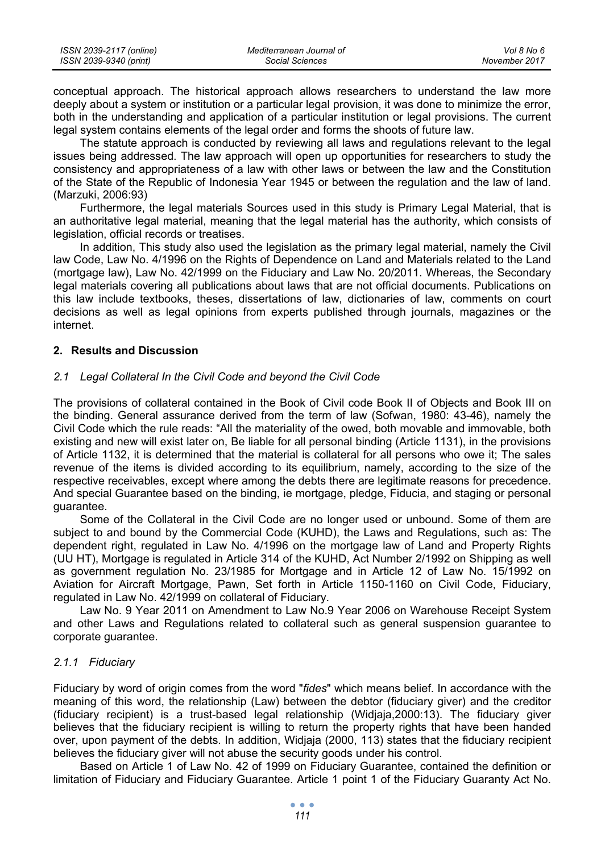| ISSN 2039-2117 (online) | Mediterranean Journal of | Vol 8 No 6    |
|-------------------------|--------------------------|---------------|
| ISSN 2039-9340 (print)  | Social Sciences          | November 2017 |

conceptual approach. The historical approach allows researchers to understand the law more deeply about a system or institution or a particular legal provision, it was done to minimize the error, both in the understanding and application of a particular institution or legal provisions. The current legal system contains elements of the legal order and forms the shoots of future law.

The statute approach is conducted by reviewing all laws and regulations relevant to the legal issues being addressed. The law approach will open up opportunities for researchers to study the consistency and appropriateness of a law with other laws or between the law and the Constitution of the State of the Republic of Indonesia Year 1945 or between the regulation and the law of land. (Marzuki, 2006:93)

Furthermore, the legal materials Sources used in this study is Primary Legal Material, that is an authoritative legal material, meaning that the legal material has the authority, which consists of legislation, official records or treatises.

In addition, This study also used the legislation as the primary legal material, namely the Civil law Code, Law No. 4/1996 on the Rights of Dependence on Land and Materials related to the Land (mortgage law), Law No. 42/1999 on the Fiduciary and Law No. 20/2011. Whereas, the Secondary legal materials covering all publications about laws that are not official documents. Publications on this law include textbooks, theses, dissertations of law, dictionaries of law, comments on court decisions as well as legal opinions from experts published through journals, magazines or the internet.

### **2. Results and Discussion**

### *2.1 Legal Collateral In the Civil Code and beyond the Civil Code*

The provisions of collateral contained in the Book of Civil code Book II of Objects and Book III on the binding. General assurance derived from the term of law (Sofwan, 1980: 43-46), namely the Civil Code which the rule reads: "All the materiality of the owed, both movable and immovable, both existing and new will exist later on, Be liable for all personal binding (Article 1131), in the provisions of Article 1132, it is determined that the material is collateral for all persons who owe it; The sales revenue of the items is divided according to its equilibrium, namely, according to the size of the respective receivables, except where among the debts there are legitimate reasons for precedence. And special Guarantee based on the binding, ie mortgage, pledge, Fiducia, and staging or personal guarantee.

Some of the Collateral in the Civil Code are no longer used or unbound. Some of them are subject to and bound by the Commercial Code (KUHD), the Laws and Regulations, such as: The dependent right, regulated in Law No. 4/1996 on the mortgage law of Land and Property Rights (UU HT), Mortgage is regulated in Article 314 of the KUHD, Act Number 2/1992 on Shipping as well as government regulation No. 23/1985 for Mortgage and in Article 12 of Law No. 15/1992 on Aviation for Aircraft Mortgage, Pawn, Set forth in Article 1150-1160 on Civil Code, Fiduciary, regulated in Law No. 42/1999 on collateral of Fiduciary.

Law No. 9 Year 2011 on Amendment to Law No.9 Year 2006 on Warehouse Receipt System and other Laws and Regulations related to collateral such as general suspension guarantee to corporate guarantee.

### *2.1.1 Fiduciary*

Fiduciary by word of origin comes from the word "*fides*" which means belief. In accordance with the meaning of this word, the relationship (Law) between the debtor (fiduciary giver) and the creditor (fiduciary recipient) is a trust-based legal relationship (Widjaja,2000:13). The fiduciary giver believes that the fiduciary recipient is willing to return the property rights that have been handed over, upon payment of the debts. In addition, Widjaja (2000, 113) states that the fiduciary recipient believes the fiduciary giver will not abuse the security goods under his control.

Based on Article 1 of Law No. 42 of 1999 on Fiduciary Guarantee, contained the definition or limitation of Fiduciary and Fiduciary Guarantee. Article 1 point 1 of the Fiduciary Guaranty Act No.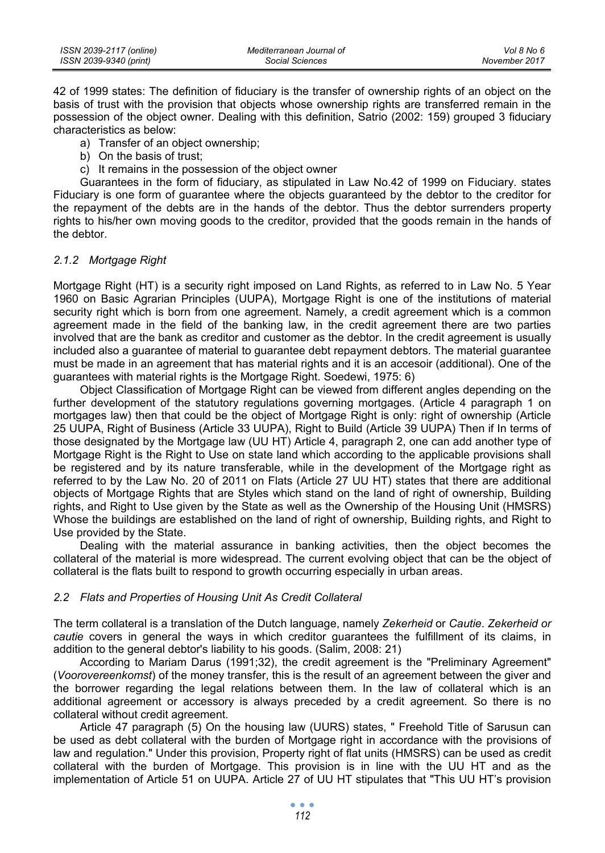| ISSN 2039-2117 (online) | Mediterranean Journal of | Vol 8 No 6    |
|-------------------------|--------------------------|---------------|
| ISSN 2039-9340 (print)  | Social Sciences          | November 2017 |

42 of 1999 states: The definition of fiduciary is the transfer of ownership rights of an object on the basis of trust with the provision that objects whose ownership rights are transferred remain in the possession of the object owner. Dealing with this definition, Satrio (2002: 159) grouped 3 fiduciary characteristics as below:

- a) Transfer of an object ownership;
- b) On the basis of trust;
- c) It remains in the possession of the object owner

Guarantees in the form of fiduciary, as stipulated in Law No.42 of 1999 on Fiduciary. states Fiduciary is one form of guarantee where the objects guaranteed by the debtor to the creditor for the repayment of the debts are in the hands of the debtor. Thus the debtor surrenders property rights to his/her own moving goods to the creditor, provided that the goods remain in the hands of the debtor.

#### *2.1.2 Mortgage Right*

Mortgage Right (HT) is a security right imposed on Land Rights, as referred to in Law No. 5 Year 1960 on Basic Agrarian Principles (UUPA), Mortgage Right is one of the institutions of material security right which is born from one agreement. Namely, a credit agreement which is a common agreement made in the field of the banking law, in the credit agreement there are two parties involved that are the bank as creditor and customer as the debtor. In the credit agreement is usually included also a guarantee of material to guarantee debt repayment debtors. The material guarantee must be made in an agreement that has material rights and it is an accesoir (additional). One of the guarantees with material rights is the Mortgage Right. Soedewi, 1975: 6)

Object Classification of Mortgage Right can be viewed from different angles depending on the further development of the statutory regulations governing mortgages. (Article 4 paragraph 1 on mortgages law) then that could be the object of Mortgage Right is only: right of ownership (Article 25 UUPA, Right of Business (Article 33 UUPA), Right to Build (Article 39 UUPA) Then if In terms of those designated by the Mortgage law (UU HT) Article 4, paragraph 2, one can add another type of Mortgage Right is the Right to Use on state land which according to the applicable provisions shall be registered and by its nature transferable, while in the development of the Mortgage right as referred to by the Law No. 20 of 2011 on Flats (Article 27 UU HT) states that there are additional objects of Mortgage Rights that are Styles which stand on the land of right of ownership, Building rights, and Right to Use given by the State as well as the Ownership of the Housing Unit (HMSRS) Whose the buildings are established on the land of right of ownership, Building rights, and Right to Use provided by the State.

Dealing with the material assurance in banking activities, then the object becomes the collateral of the material is more widespread. The current evolving object that can be the object of collateral is the flats built to respond to growth occurring especially in urban areas.

#### *2.2 Flats and Properties of Housing Unit As Credit Collateral*

The term collateral is a translation of the Dutch language, namely *Zekerheid* or *Cautie*. *Zekerheid or cautie* covers in general the ways in which creditor guarantees the fulfillment of its claims, in addition to the general debtor's liability to his goods. (Salim, 2008: 21)

According to Mariam Darus (1991;32), the credit agreement is the "Preliminary Agreement" (*Voorovereenkomst*) of the money transfer, this is the result of an agreement between the giver and the borrower regarding the legal relations between them. In the law of collateral which is an additional agreement or accessory is always preceded by a credit agreement. So there is no collateral without credit agreement.

Article 47 paragraph (5) On the housing law (UURS) states, " Freehold Title of Sarusun can be used as debt collateral with the burden of Mortgage right in accordance with the provisions of law and regulation." Under this provision, Property right of flat units (HMSRS) can be used as credit collateral with the burden of Mortgage. This provision is in line with the UU HT and as the implementation of Article 51 on UUPA. Article 27 of UU HT stipulates that "This UU HT's provision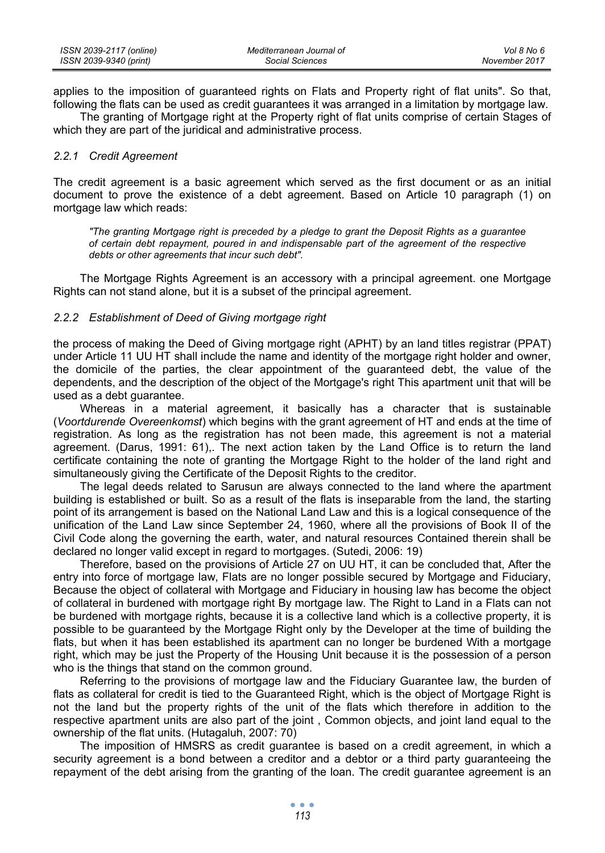applies to the imposition of guaranteed rights on Flats and Property right of flat units". So that, following the flats can be used as credit guarantees it was arranged in a limitation by mortgage law.

The granting of Mortgage right at the Property right of flat units comprise of certain Stages of which they are part of the juridical and administrative process.

#### *2.2.1 Credit Agreement*

The credit agreement is a basic agreement which served as the first document or as an initial document to prove the existence of a debt agreement. Based on Article 10 paragraph (1) on mortgage law which reads:

*"The granting Mortgage right is preceded by a pledge to grant the Deposit Rights as a guarantee of certain debt repayment, poured in and indispensable part of the agreement of the respective debts or other agreements that incur such debt".* 

The Mortgage Rights Agreement is an accessory with a principal agreement. one Mortgage Rights can not stand alone, but it is a subset of the principal agreement.

#### *2.2.2 Establishment of Deed of Giving mortgage right*

the process of making the Deed of Giving mortgage right (APHT) by an land titles registrar (PPAT) under Article 11 UU HT shall include the name and identity of the mortgage right holder and owner, the domicile of the parties, the clear appointment of the guaranteed debt, the value of the dependents, and the description of the object of the Mortgage's right This apartment unit that will be used as a debt guarantee.

Whereas in a material agreement, it basically has a character that is sustainable (*Voortdurende Overeenkomst*) which begins with the grant agreement of HT and ends at the time of registration. As long as the registration has not been made, this agreement is not a material agreement. (Darus, 1991: 61),. The next action taken by the Land Office is to return the land certificate containing the note of granting the Mortgage Right to the holder of the land right and simultaneously giving the Certificate of the Deposit Rights to the creditor.

The legal deeds related to Sarusun are always connected to the land where the apartment building is established or built. So as a result of the flats is inseparable from the land, the starting point of its arrangement is based on the National Land Law and this is a logical consequence of the unification of the Land Law since September 24, 1960, where all the provisions of Book II of the Civil Code along the governing the earth, water, and natural resources Contained therein shall be declared no longer valid except in regard to mortgages. (Sutedi, 2006: 19)

Therefore, based on the provisions of Article 27 on UU HT, it can be concluded that, After the entry into force of mortgage law, Flats are no longer possible secured by Mortgage and Fiduciary, Because the object of collateral with Mortgage and Fiduciary in housing law has become the object of collateral in burdened with mortgage right By mortgage law. The Right to Land in a Flats can not be burdened with mortgage rights, because it is a collective land which is a collective property, it is possible to be guaranteed by the Mortgage Right only by the Developer at the time of building the flats, but when it has been established its apartment can no longer be burdened With a mortgage right, which may be just the Property of the Housing Unit because it is the possession of a person who is the things that stand on the common ground.

Referring to the provisions of mortgage law and the Fiduciary Guarantee law, the burden of flats as collateral for credit is tied to the Guaranteed Right, which is the object of Mortgage Right is not the land but the property rights of the unit of the flats which therefore in addition to the respective apartment units are also part of the joint , Common objects, and joint land equal to the ownership of the flat units. (Hutagaluh, 2007: 70)

The imposition of HMSRS as credit guarantee is based on a credit agreement, in which a security agreement is a bond between a creditor and a debtor or a third party guaranteeing the repayment of the debt arising from the granting of the loan. The credit guarantee agreement is an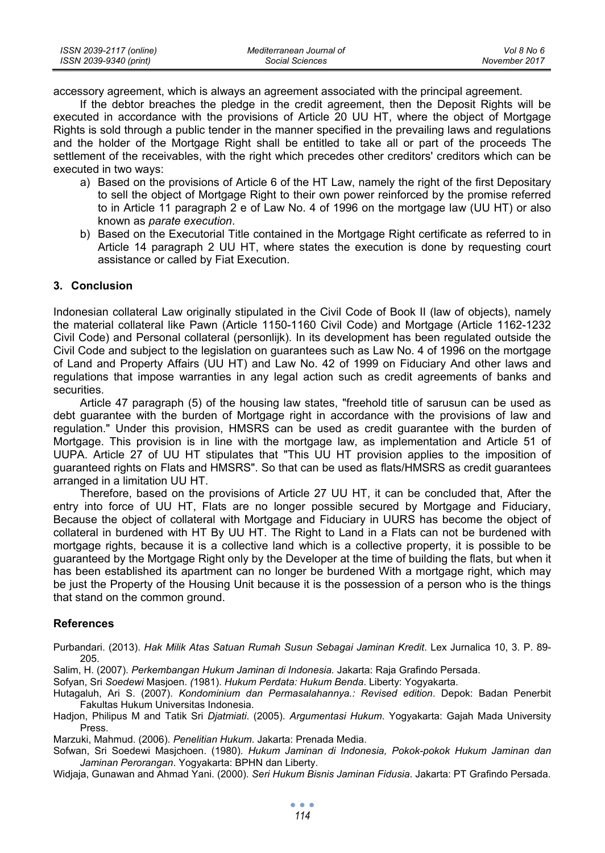| ISSN 2039-2117 (online) | Mediterranean Journal of | Vol 8 No 6    |
|-------------------------|--------------------------|---------------|
| ISSN 2039-9340 (print)  | Social Sciences          | November 2017 |

accessory agreement, which is always an agreement associated with the principal agreement.

If the debtor breaches the pledge in the credit agreement, then the Deposit Rights will be executed in accordance with the provisions of Article 20 UU HT, where the object of Mortgage Rights is sold through a public tender in the manner specified in the prevailing laws and regulations and the holder of the Mortgage Right shall be entitled to take all or part of the proceeds The settlement of the receivables, with the right which precedes other creditors' creditors which can be executed in two ways:

- a) Based on the provisions of Article 6 of the HT Law, namely the right of the first Depositary to sell the object of Mortgage Right to their own power reinforced by the promise referred to in Article 11 paragraph 2 e of Law No. 4 of 1996 on the mortgage law (UU HT) or also known as *parate execution*.
- b) Based on the Executorial Title contained in the Mortgage Right certificate as referred to in Article 14 paragraph 2 UU HT, where states the execution is done by requesting court assistance or called by Fiat Execution.

## **3. Conclusion**

Indonesian collateral Law originally stipulated in the Civil Code of Book II (law of objects), namely the material collateral like Pawn (Article 1150-1160 Civil Code) and Mortgage (Article 1162-1232 Civil Code) and Personal collateral (personlijk). In its development has been regulated outside the Civil Code and subject to the legislation on guarantees such as Law No. 4 of 1996 on the mortgage of Land and Property Affairs (UU HT) and Law No. 42 of 1999 on Fiduciary And other laws and regulations that impose warranties in any legal action such as credit agreements of banks and securities.

Article 47 paragraph (5) of the housing law states, "freehold title of sarusun can be used as debt guarantee with the burden of Mortgage right in accordance with the provisions of law and regulation." Under this provision, HMSRS can be used as credit guarantee with the burden of Mortgage. This provision is in line with the mortgage law, as implementation and Article 51 of UUPA. Article 27 of UU HT stipulates that "This UU HT provision applies to the imposition of guaranteed rights on Flats and HMSRS". So that can be used as flats/HMSRS as credit guarantees arranged in a limitation UU HT.

Therefore, based on the provisions of Article 27 UU HT, it can be concluded that, After the entry into force of UU HT, Flats are no longer possible secured by Mortgage and Fiduciary, Because the object of collateral with Mortgage and Fiduciary in UURS has become the object of collateral in burdened with HT By UU HT. The Right to Land in a Flats can not be burdened with mortgage rights, because it is a collective land which is a collective property, it is possible to be guaranteed by the Mortgage Right only by the Developer at the time of building the flats, but when it has been established its apartment can no longer be burdened With a mortgage right, which may be just the Property of the Housing Unit because it is the possession of a person who is the things that stand on the common ground.

#### **References**

Purbandari. (2013). *Hak Milik Atas Satuan Rumah Susun Sebagai Jaminan Kredit*. Lex Jurnalica 10, 3. P. 89- 205.

Salim, H. (2007). *Perkembangan Hukum Jaminan di Indonesia.* Jakarta: Raja Grafindo Persada.

Sofyan, Sri *Soedewi* Masjoen. *(*1981). *Hukum Perdata: Hukum Benda*. Liberty: Yogyakarta.

Hutagaluh, Ari S. (2007). *Kondominium dan Permasalahannya.: Revised edition*. Depok: Badan Penerbit Fakultas Hukum Universitas Indonesia.

Hadjon, Philipus M and Tatik Sri *Djatmiati*. (2005). *Argumentasi Hukum*. Yogyakarta: Gajah Mada University Press.

Marzuki, Mahmud. (2006). *Penelitian Hukum*. Jakarta: Prenada Media.

Sofwan, Sri Soedewi Masjchoen. (1980). *Hukum Jaminan di Indonesia, Pokok-pokok Hukum Jaminan dan Jaminan Perorangan*. Yogyakarta: BPHN dan Liberty.

Widjaja, Gunawan and Ahmad Yani. (2000). *Seri Hukum Bisnis Jaminan Fidusia*. Jakarta: PT Grafindo Persada.